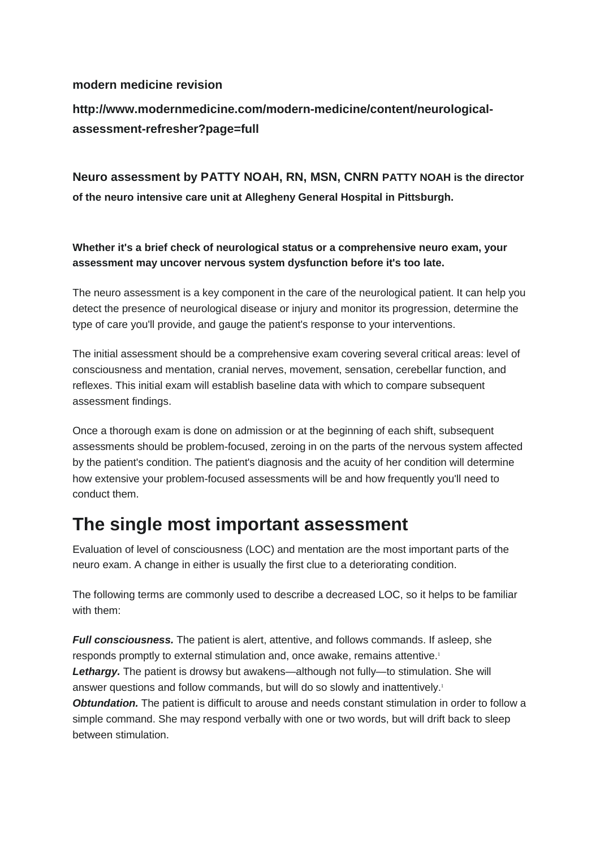#### **modern medicine revision**

**http://www.modernmedicine.com/modern-medicine/content/neurologicalassessment-refresher?page=full**

**Neuro assessment by PATTY NOAH, RN, MSN, CNRN PATTY NOAH is the director of the neuro intensive care unit at Allegheny General Hospital in Pittsburgh.**

**Whether it's a brief check of neurological status or a comprehensive neuro exam, your assessment may uncover nervous system dysfunction before it's too late.**

The neuro assessment is a key component in the care of the neurological patient. It can help you detect the presence of neurological disease or injury and monitor its progression, determine the type of care you'll provide, and gauge the patient's response to your interventions.

The initial assessment should be a comprehensive exam covering several critical areas: level of consciousness and mentation, cranial nerves, movement, sensation, cerebellar function, and reflexes. This initial exam will establish baseline data with which to compare subsequent assessment findings.

Once a thorough exam is done on admission or at the beginning of each shift, subsequent assessments should be problem-focused, zeroing in on the parts of the nervous system affected by the patient's condition. The patient's diagnosis and the acuity of her condition will determine how extensive your problem-focused assessments will be and how frequently you'll need to conduct them.

### **The single most important assessment**

Evaluation of level of consciousness (LOC) and mentation are the most important parts of the neuro exam. A change in either is usually the first clue to a deteriorating condition.

The following terms are commonly used to describe a decreased LOC, so it helps to be familiar with them:

*Full consciousness.* The patient is alert, attentive, and follows commands. If asleep, she responds promptly to external stimulation and, once awake, remains attentive.<sup>1</sup> Lethargy. The patient is drowsy but awakens—although not fully—to stimulation. She will answer questions and follow commands, but will do so slowly and inattentively.<sup>1</sup> *Obtundation.* The patient is difficult to arouse and needs constant stimulation in order to follow a simple command. She may respond verbally with one or two words, but will drift back to sleep between stimulation.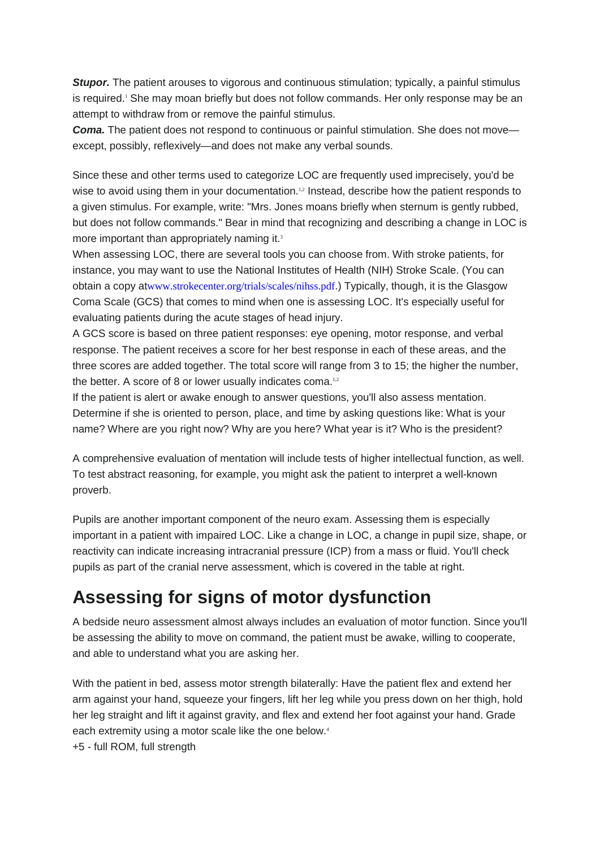**Stupor.** The patient arouses to vigorous and continuous stimulation; typically, a painful stimulus is required.<sup>1</sup> She may moan briefly but does not follow commands. Her only response may be an attempt to withdraw from or remove the painful stimulus.

**Coma.** The patient does not respond to continuous or painful stimulation. She does not move except, possibly, reflexively—and does not make any verbal sounds.

Since these and other terms used to categorize LOC are frequently used imprecisely, you'd be wise to avoid using them in your documentation.<sup>1,2</sup> Instead, describe how the patient responds to a given stimulus. For example, write: "Mrs. Jones moans briefly when sternum is gently rubbed, but does not follow commands." Bear in mind that recognizing and describing a change in LOC is more important than appropriately naming it.<sup>3</sup>

When assessing LOC, there are several tools you can choose from. With stroke patients, for instance, you may want to use the National Institutes of Health (NIH) Stroke Scale. (You can obtain a copy at[www.strokecenter.org/trials/scales/nihss.pdf](http://www.strokecenter.org/trials/scales/nihss.pdf).) Typically, though, it is the Glasgow Coma Scale (GCS) that comes to mind when one is assessing LOC. It's especially useful for evaluating patients during the acute stages of head injury.

A GCS score is based on three patient responses: eye opening, motor response, and verbal response. The patient receives a score for her best response in each of these areas, and the three scores are added together. The total score will range from 3 to 15; the higher the number, the better. A score of 8 or lower usually indicates coma.<sup>1,2</sup>

If the patient is alert or awake enough to answer questions, you'll also assess mentation. Determine if she is oriented to person, place, and time by asking questions like: What is your name? Where are you right now? Why are you here? What year is it? Who is the president?

A comprehensive evaluation of mentation will include tests of higher intellectual function, as well. To test abstract reasoning, for example, you might ask the patient to interpret a well-known proverb.

Pupils are another important component of the neuro exam. Assessing them is especially important in a patient with impaired LOC. Like a change in LOC, a change in pupil size, shape, or reactivity can indicate increasing intracranial pressure (ICP) from a mass or fluid. You'll check pupils as part of the cranial nerve assessment, which is covered in the table at right.

# **Assessing for signs of motor dysfunction**

A bedside neuro assessment almost always includes an evaluation of motor function. Since you'll be assessing the ability to move on command, the patient must be awake, willing to cooperate, and able to understand what you are asking her.

With the patient in bed, assess motor strength bilaterally: Have the patient flex and extend her arm against your hand, squeeze your fingers, lift her leg while you press down on her thigh, hold her leg straight and lift it against gravity, and flex and extend her foot against your hand. Grade each extremity using a motor scale like the one below.<sup>4</sup> +5 - full ROM, full strength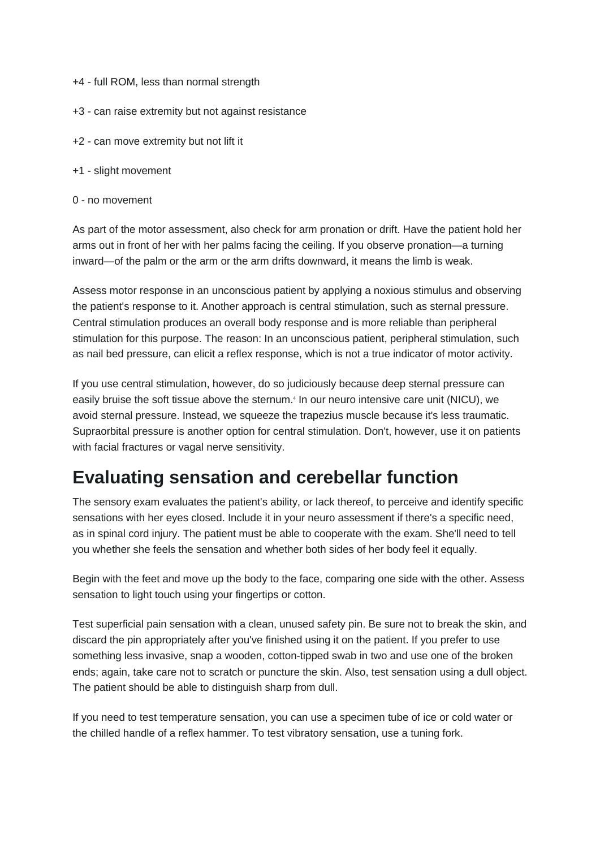- +4 full ROM, less than normal strength
- +3 can raise extremity but not against resistance
- +2 can move extremity but not lift it
- +1 slight movement
- 0 no movement

As part of the motor assessment, also check for arm pronation or drift. Have the patient hold her arms out in front of her with her palms facing the ceiling. If you observe pronation—a turning inward—of the palm or the arm or the arm drifts downward, it means the limb is weak.

Assess motor response in an unconscious patient by applying a noxious stimulus and observing the patient's response to it. Another approach is central stimulation, such as sternal pressure. Central stimulation produces an overall body response and is more reliable than peripheral stimulation for this purpose. The reason: In an unconscious patient, peripheral stimulation, such as nail bed pressure, can elicit a reflex response, which is not a true indicator of motor activity.

If you use central stimulation, however, do so judiciously because deep sternal pressure can easily bruise the soft tissue above the sternum.<sup>4</sup> In our neuro intensive care unit (NICU), we avoid sternal pressure. Instead, we squeeze the trapezius muscle because it's less traumatic. Supraorbital pressure is another option for central stimulation. Don't, however, use it on patients with facial fractures or vagal nerve sensitivity.

## **Evaluating sensation and cerebellar function**

The sensory exam evaluates the patient's ability, or lack thereof, to perceive and identify specific sensations with her eyes closed. Include it in your neuro assessment if there's a specific need, as in spinal cord injury. The patient must be able to cooperate with the exam. She'll need to tell you whether she feels the sensation and whether both sides of her body feel it equally.

Begin with the feet and move up the body to the face, comparing one side with the other. Assess sensation to light touch using your fingertips or cotton.

Test superficial pain sensation with a clean, unused safety pin. Be sure not to break the skin, and discard the pin appropriately after you've finished using it on the patient. If you prefer to use something less invasive, snap a wooden, cotton-tipped swab in two and use one of the broken ends; again, take care not to scratch or puncture the skin. Also, test sensation using a dull object. The patient should be able to distinguish sharp from dull.

If you need to test temperature sensation, you can use a specimen tube of ice or cold water or the chilled handle of a reflex hammer. To test vibratory sensation, use a tuning fork.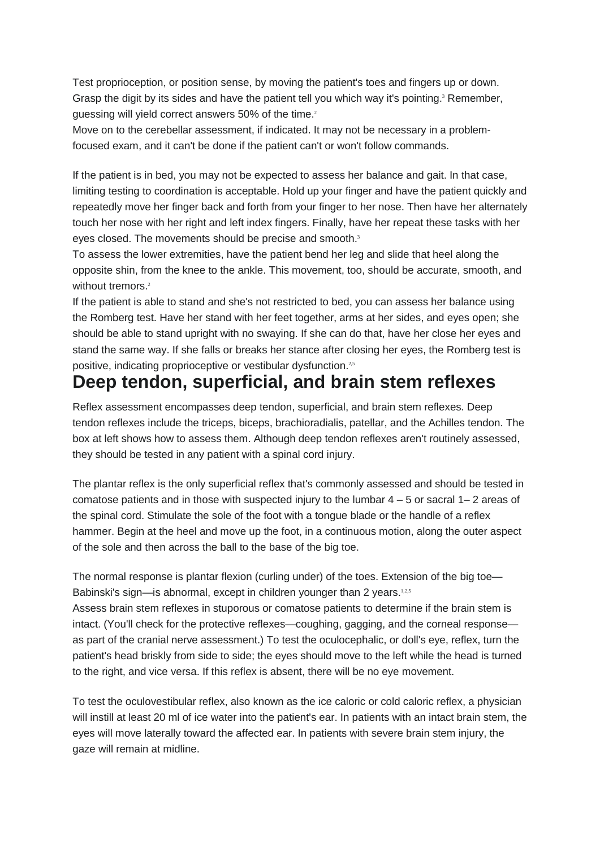Test proprioception, or position sense, by moving the patient's toes and fingers up or down. Grasp the digit by its sides and have the patient tell you which way it's pointing.<sup>3</sup> Remember, guessing will yield correct answers 50% of the time.<sup>2</sup>

Move on to the cerebellar assessment, if indicated. It may not be necessary in a problemfocused exam, and it can't be done if the patient can't or won't follow commands.

If the patient is in bed, you may not be expected to assess her balance and gait. In that case, limiting testing to coordination is acceptable. Hold up your finger and have the patient quickly and repeatedly move her finger back and forth from your finger to her nose. Then have her alternately touch her nose with her right and left index fingers. Finally, have her repeat these tasks with her eyes closed. The movements should be precise and smooth.<sup>3</sup>

To assess the lower extremities, have the patient bend her leg and slide that heel along the opposite shin, from the knee to the ankle. This movement, too, should be accurate, smooth, and without tremors.<sup>2</sup>

If the patient is able to stand and she's not restricted to bed, you can assess her balance using the Romberg test. Have her stand with her feet together, arms at her sides, and eyes open; she should be able to stand upright with no swaying. If she can do that, have her close her eyes and stand the same way. If she falls or breaks her stance after closing her eyes, the Romberg test is positive, indicating proprioceptive or vestibular dysfunction.<sup>2,5</sup>

## **Deep tendon, superficial, and brain stem reflexes**

Reflex assessment encompasses deep tendon, superficial, and brain stem reflexes. Deep tendon reflexes include the triceps, biceps, brachioradialis, patellar, and the Achilles tendon. The box at left shows how to assess them. Although deep tendon reflexes aren't routinely assessed, they should be tested in any patient with a spinal cord injury.

The plantar reflex is the only superficial reflex that's commonly assessed and should be tested in comatose patients and in those with suspected injury to the lumbar  $4 - 5$  or sacral  $1 - 2$  areas of the spinal cord. Stimulate the sole of the foot with a tongue blade or the handle of a reflex hammer. Begin at the heel and move up the foot, in a continuous motion, along the outer aspect of the sole and then across the ball to the base of the big toe.

The normal response is plantar flexion (curling under) of the toes. Extension of the big toe— Babinski's sign—is abnormal, except in children younger than 2 years.<sup>1,2,5</sup>

Assess brain stem reflexes in stuporous or comatose patients to determine if the brain stem is intact. (You'll check for the protective reflexes—coughing, gagging, and the corneal response as part of the cranial nerve assessment.) To test the oculocephalic, or doll's eye, reflex, turn the patient's head briskly from side to side; the eyes should move to the left while the head is turned to the right, and vice versa. If this reflex is absent, there will be no eye movement.

To test the oculovestibular reflex, also known as the ice caloric or cold caloric reflex, a physician will instill at least 20 ml of ice water into the patient's ear. In patients with an intact brain stem, the eyes will move laterally toward the affected ear. In patients with severe brain stem injury, the gaze will remain at midline.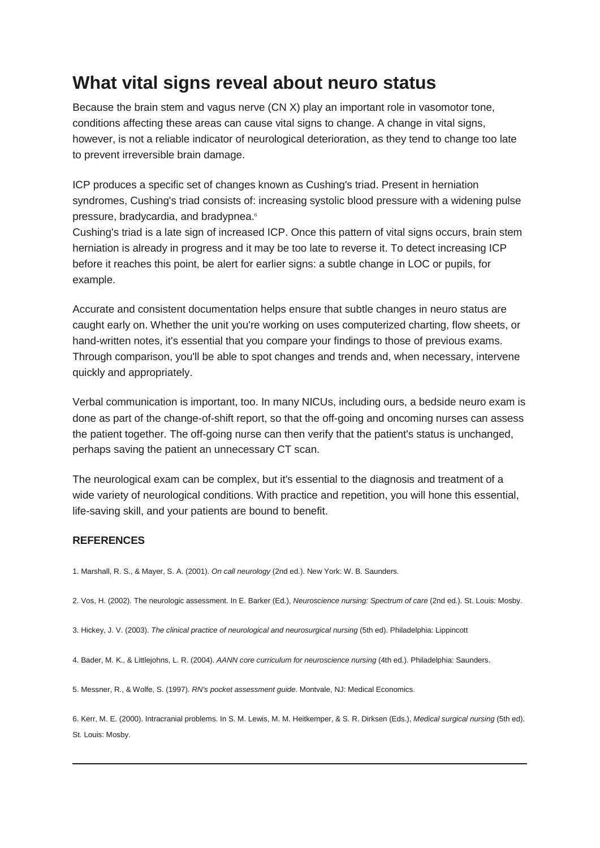### **What vital signs reveal about neuro status**

Because the brain stem and vagus nerve (CN X) play an important role in vasomotor tone, conditions affecting these areas can cause vital signs to change. A change in vital signs, however, is not a reliable indicator of neurological deterioration, as they tend to change too late to prevent irreversible brain damage.

ICP produces a specific set of changes known as Cushing's triad. Present in herniation syndromes, Cushing's triad consists of: increasing systolic blood pressure with a widening pulse pressure, bradycardia, and bradypnea.6

Cushing's triad is a late sign of increased ICP. Once this pattern of vital signs occurs, brain stem herniation is already in progress and it may be too late to reverse it. To detect increasing ICP before it reaches this point, be alert for earlier signs: a subtle change in LOC or pupils, for example.

Accurate and consistent documentation helps ensure that subtle changes in neuro status are caught early on. Whether the unit you're working on uses computerized charting, flow sheets, or hand-written notes, it's essential that you compare your findings to those of previous exams. Through comparison, you'll be able to spot changes and trends and, when necessary, intervene quickly and appropriately.

Verbal communication is important, too. In many NICUs, including ours, a bedside neuro exam is done as part of the change-of-shift report, so that the off-going and oncoming nurses can assess the patient together. The off-going nurse can then verify that the patient's status is unchanged, perhaps saving the patient an unnecessary CT scan.

The neurological exam can be complex, but it's essential to the diagnosis and treatment of a wide variety of neurological conditions. With practice and repetition, you will hone this essential, life-saving skill, and your patients are bound to benefit.

#### **REFERENCES**

1. Marshall, R. S., & Mayer, S. A. (2001). *On call neurology* (2nd ed.). New York: W. B. Saunders.

2. Vos, H. (2002). The neurologic assessment. In E. Barker (Ed.), *Neuroscience nursing: Spectrum of care* (2nd ed.). St. Louis: Mosby.

3. Hickey, J. V. (2003). *The clinical practice of neurological and neurosurgical nursing* (5th ed). Philadelphia: Lippincott

4. Bader, M. K., & Littlejohns, L. R. (2004). *AANN core curriculum for neuroscience nursing* (4th ed.). Philadelphia: Saunders.

5. Messner, R., & Wolfe, S. (1997). *RN's pocket assessment guide*. Montvale, NJ: Medical Economics.

6. Kerr, M. E. (2000). Intracranial problems. In S. M. Lewis, M. M. Heitkemper, & S. R. Dirksen (Eds.), *Medical surgical nursing* (5th ed). St. Louis: Mosby.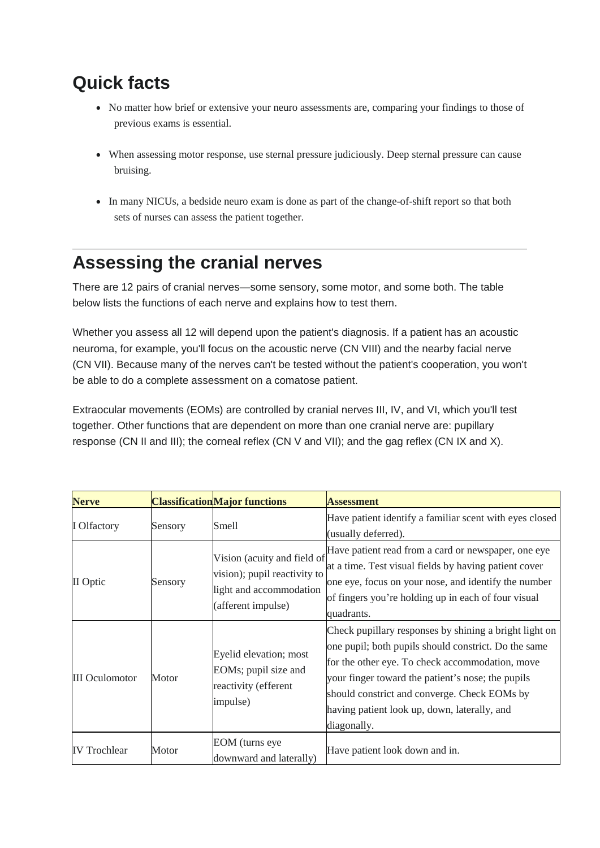# **Quick facts**

- No matter how brief or extensive your neuro assessments are, comparing your findings to those of previous exams is essential.
- When assessing motor response, use sternal pressure judiciously. Deep sternal pressure can cause bruising.
- In many NICUs, a bedside neuro exam is done as part of the change-of-shift report so that both sets of nurses can assess the patient together.

# **Assessing the cranial nerves**

There are 12 pairs of cranial nerves—some sensory, some motor, and some both. The table below lists the functions of each nerve and explains how to test them.

Whether you assess all 12 will depend upon the patient's diagnosis. If a patient has an acoustic neuroma, for example, you'll focus on the acoustic nerve (CN VIII) and the nearby facial nerve (CN VII). Because many of the nerves can't be tested without the patient's cooperation, you won't be able to do a complete assessment on a comatose patient.

Extraocular movements (EOMs) are controlled by cranial nerves III, IV, and VI, which you'll test together. Other functions that are dependent on more than one cranial nerve are: pupillary response (CN II and III); the corneal reflex (CN V and VII); and the gag reflex (CN IX and X).

| <b>Nerve</b>          |         | <b>Classification Major functions</b>                                                                        | <b>Assessment</b>                                                                                                                                                                                                                                                                                                                     |
|-----------------------|---------|--------------------------------------------------------------------------------------------------------------|---------------------------------------------------------------------------------------------------------------------------------------------------------------------------------------------------------------------------------------------------------------------------------------------------------------------------------------|
| <b>I</b> Olfactory    | Sensory | Smell                                                                                                        | Have patient identify a familiar scent with eyes closed<br>(usually deferred).                                                                                                                                                                                                                                                        |
| II Optic              | Sensory | Vision (acuity and field of<br>vision); pupil reactivity to<br>light and accommodation<br>(afferent impulse) | Have patient read from a card or newspaper, one eye<br>at a time. Test visual fields by having patient cover<br>one eye, focus on your nose, and identify the number<br>of fingers you're holding up in each of four visual<br>quadrants.                                                                                             |
| <b>III</b> Oculomotor | Motor   | Eyelid elevation; most<br>EOMs; pupil size and<br>reactivity (efferent<br>impulse)                           | Check pupillary responses by shining a bright light on<br>one pupil; both pupils should constrict. Do the same<br>for the other eye. To check accommodation, move<br>your finger toward the patient's nose; the pupils<br>should constrict and converge. Check EOMs by<br>having patient look up, down, laterally, and<br>diagonally. |
| <b>IV Trochlear</b>   | Motor   | EOM (turns eye<br>downward and laterally)                                                                    | Have patient look down and in.                                                                                                                                                                                                                                                                                                        |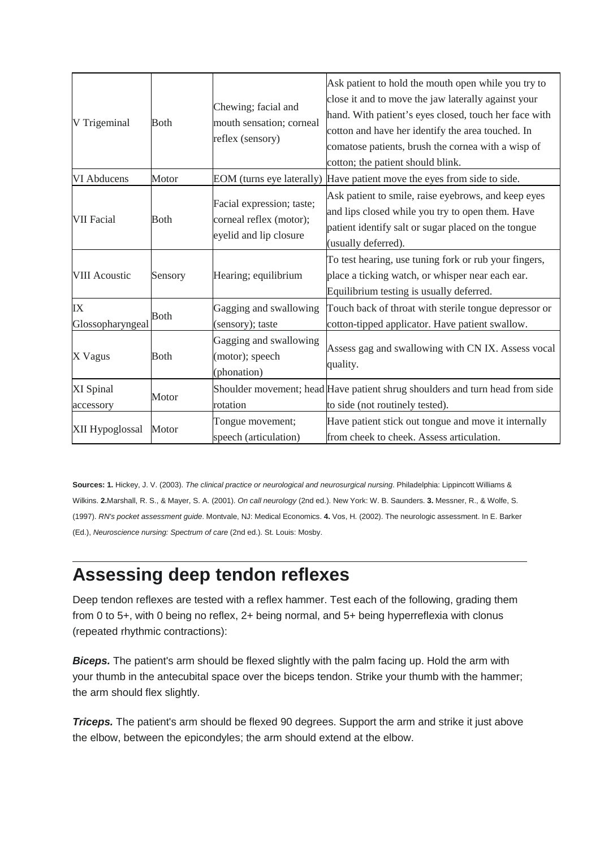| V Trigeminal           | <b>Both</b> | Chewing; facial and<br>mouth sensation; corneal<br>reflex (sensory)            | Ask patient to hold the mouth open while you try to<br>close it and to move the jaw laterally against your<br>hand. With patient's eyes closed, touch her face with<br>cotton and have her identify the area touched. In<br>comatose patients, brush the cornea with a wisp of<br>cotton; the patient should blink. |
|------------------------|-------------|--------------------------------------------------------------------------------|---------------------------------------------------------------------------------------------------------------------------------------------------------------------------------------------------------------------------------------------------------------------------------------------------------------------|
| VI Abducens            | Motor       | EOM (turns eye laterally)                                                      | Have patient move the eyes from side to side.                                                                                                                                                                                                                                                                       |
| <b>VII Facial</b>      | <b>Both</b> | Facial expression; taste;<br>corneal reflex (motor);<br>eyelid and lip closure | Ask patient to smile, raise eyebrows, and keep eyes<br>and lips closed while you try to open them. Have<br>patient identify salt or sugar placed on the tongue<br>(usually deferred).                                                                                                                               |
| <b>VIII Acoustic</b>   | Sensory     | Hearing; equilibrium                                                           | To test hearing, use tuning fork or rub your fingers,<br>place a ticking watch, or whisper near each ear.<br>Equilibrium testing is usually deferred.                                                                                                                                                               |
| IX<br>Glossopharyngeal | <b>Both</b> | Gagging and swallowing<br>(sensory); taste                                     | Touch back of throat with sterile tongue depressor or<br>cotton-tipped applicator. Have patient swallow.                                                                                                                                                                                                            |
| X Vagus                | <b>Both</b> | Gagging and swallowing<br>(motor); speech<br>(phonation)                       | Assess gag and swallowing with CN IX. Assess vocal<br>quality.                                                                                                                                                                                                                                                      |
| XI Spinal<br>accessory | Motor       | rotation                                                                       | Shoulder movement; head Have patient shrug shoulders and turn head from side<br>to side (not routinely tested).                                                                                                                                                                                                     |
| XII Hypoglossal        | Motor       | Tongue movement;<br>speech (articulation)                                      | Have patient stick out tongue and move it internally<br>from cheek to cheek. Assess articulation.                                                                                                                                                                                                                   |

**Sources: 1.** Hickey, J. V. (2003). *The clinical practice or neurological and neurosurgical nursing*. Philadelphia: Lippincott Williams & Wilkins. **2.**Marshall, R. S., & Mayer, S. A. (2001). *On call neurology* (2nd ed.). New York: W. B. Saunders. **3.** Messner, R., & Wolfe, S. (1997). *RN's pocket assessment guide*. Montvale, NJ: Medical Economics. **4.** Vos, H. (2002). The neurologic assessment. In E. Barker (Ed.), *Neuroscience nursing: Spectrum of care* (2nd ed.). St. Louis: Mosby.

### **Assessing deep tendon reflexes**

Deep tendon reflexes are tested with a reflex hammer. Test each of the following, grading them from 0 to 5+, with 0 being no reflex, 2+ being normal, and 5+ being hyperreflexia with clonus (repeated rhythmic contractions):

**Biceps.** The patient's arm should be flexed slightly with the palm facing up. Hold the arm with your thumb in the antecubital space over the biceps tendon. Strike your thumb with the hammer; the arm should flex slightly.

**Triceps.** The patient's arm should be flexed 90 degrees. Support the arm and strike it just above the elbow, between the epicondyles; the arm should extend at the elbow.